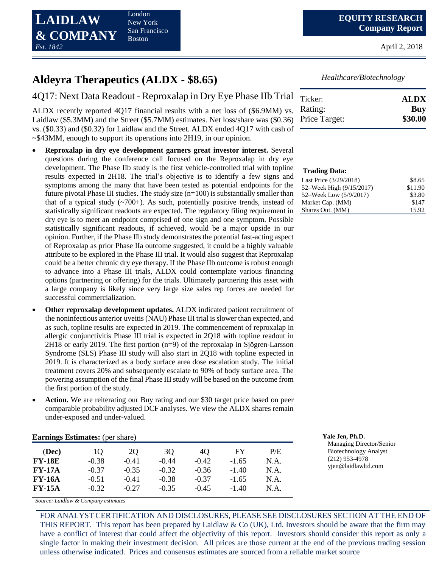London New York San Francisco Boston

April 2, 2018

# **Aldeyra Therapeutics (ALDX - \$8.65)**

4Q17: Next Data Readout - Reproxalap in Dry Eye Phase IIb Trial

ALDX recently reported 4Q17 financial results with a net loss of (\$6.9MM) vs. Laidlaw (\$5.3MM) and the Street (\$5.7MM) estimates. Net loss/share was (\$0.36) vs. (\$0.33) and (\$0.32) for Laidlaw and the Street. ALDX ended 4Q17 with cash of ~\$43MM, enough to support its operations into 2H19, in our opinion.

- **Reproxalap in dry eye development garners great investor interest.** Several questions during the conference call focused on the Reproxalap in dry eye development. The Phase IIb study is the first vehicle-controlled trial with topline results expected in 2H18. The trial's objective is to identify a few signs and symptoms among the many that have been tested as potential endpoints for the future pivotal Phase III studies. The study size  $(n=100)$  is substantially smaller than that of a typical study  $(-700+)$ . As such, potentially positive trends, instead of statistically significant readouts are expected. The regulatory filing requirement in dry eye is to meet an endpoint comprised of one sign and one symptom. Possible statistically significant readouts, if achieved, would be a major upside in our opinion. Further, if the Phase IIb study demonstrates the potential fast-acting aspect of Reproxalap as prior Phase IIa outcome suggested, it could be a highly valuable attribute to be explored in the Phase III trial. It would also suggest that Reproxalap could be a better chronic dry eye therapy. If the Phase IIb outcome is robust enough to advance into a Phase III trials, ALDX could contemplate various financing options (partnering or offering) for the trials. Ultimately partnering this asset with a large company is likely since very large size sales rep forces are needed for successful commercialization.
- **Other reproxalap development updates.** ALDX indicated patient recruitment of the noninfectious anterior uveitis (NAU) Phase III trial is slower than expected, and as such, topline results are expected in 2019. The commencement of reproxalap in allergic conjunctivitis Phase III trial is expected in 2Q18 with topline readout in 2H18 or early 2019. The first portion (n=9) of the reproxalap in Sjögren-Larsson Syndrome (SLS) Phase III study will also start in 2Q18 with topline expected in 2019. It is characterized as a body surface area dose escalation study. The initial treatment covers 20% and subsequently escalate to 90% of body surface area. The powering assumption of the final Phase III study will be based on the outcome from the first portion of the study.
- **Action.** We are reiterating our Buy rating and our \$30 target price based on peer comparable probability adjusted DCF analyses. We view the ALDX shares remain under-exposed and under-valued.

| <b>Earnings Estimates:</b> (per share) |         |                |         |         |         |      | Yale Jen, Ph.D.               |
|----------------------------------------|---------|----------------|---------|---------|---------|------|-------------------------------|
| (Dec)                                  |         | 2 <sub>O</sub> | 3Q      | 4C      | FY      | P/E  | Managing Dir<br>Biotechnology |
| <b>FY-18E</b>                          | $-0.38$ | $-0.41$        | $-0.44$ | $-0.42$ | $-1.65$ | N.A. | $(212)$ 953-497               |
| $FY-17A$                               | $-0.37$ | $-0.35$        | $-0.32$ | $-0.36$ | $-1.40$ | N.A. | yjen@laidlawl                 |
| <b>FY-16A</b>                          | $-0.51$ | $-0.41$        | $-0.38$ | $-0.37$ | $-1.65$ | N.A. |                               |
| $FY-15A$                               | $-0.32$ | $-0.27$        | $-0.35$ | $-0.45$ | $-1.40$ | N.A. |                               |

*Source: Laidlaw & Company estimates*

FOR ANALYST CERTIFICATION AND DISCLOSURES, PLEASE SEE DISCLOSURES SECTION AT THE END OF THIS REPORT. This report has been prepared by Laidlaw & Co (UK), Ltd. Investors should be aware that the firm may have a conflict of interest that could affect the objectivity of this report. Investors should consider this report as only a single factor in making their investment decision. All prices are those current at the end of the previous trading session unless otherwise indicated. Prices and consensus estimates are sourced from a reliable market source

*Healthcare/Biotechnology*

| Ticker:       | <b>ALDX</b> |
|---------------|-------------|
| Rating:       | Buy         |
| Price Target: | \$30.00     |

| <b>Trading Data:</b>     |         |
|--------------------------|---------|
| Last Price (3/29/2018)   | \$8.65  |
| 52–Week High (9/15/2017) | \$11.90 |
| 52–Week Low (5/9/2017)   | \$3.80  |
| Market Cap. (MM)         | \$147   |
| Shares Out. (MM)         | 15.92   |

Managing Director/Senior Biotechnology Analyst (212) 953-4978 yjen@laidlawltd.com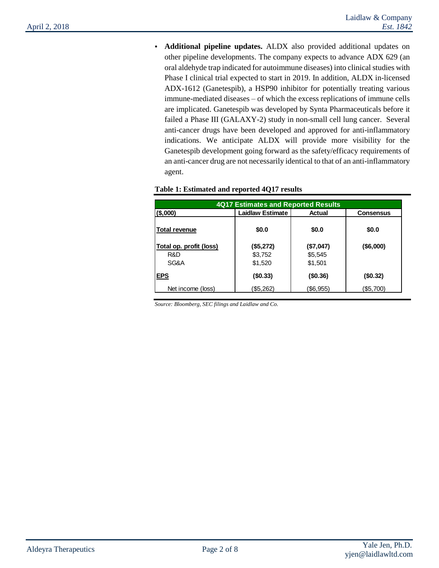**• Additional pipeline updates.** ALDX also provided additional updates on other pipeline developments. The company expects to advance ADX 629 (an oral aldehyde trap indicated for autoimmune diseases) into clinical studies with Phase I clinical trial expected to start in 2019. In addition, ALDX in-licensed ADX-1612 (Ganetespib), a HSP90 inhibitor for potentially treating various immune-mediated diseases – of which the excess replications of immune cells are implicated. Ganetespib was developed by Synta Pharmaceuticals before it failed a Phase III (GALAXY-2) study in non-small cell lung cancer. Several anti-cancer drugs have been developed and approved for anti-inflammatory indications. We anticipate ALDX will provide more visibility for the Ganetespib development going forward as the safety/efficacy requirements of an anti-cancer drug are not necessarily identical to that of an anti-inflammatory agent.

| 4Q17 Estimates and Reported Results |                         |             |           |  |  |  |  |
|-------------------------------------|-------------------------|-------------|-----------|--|--|--|--|
| $($ \$,000)                         | <b>Laidlaw Estimate</b> | Actual      | Consensus |  |  |  |  |
| Total revenue                       | \$0.0                   | \$0.0       | \$0.0     |  |  |  |  |
| Total op. profit (loss)             | (\$5,272)               | (\$7,047)   | (\$6,000) |  |  |  |  |
| R&D                                 | \$3,752                 | \$5,545     |           |  |  |  |  |
| SG&A                                | \$1,520                 | \$1,501     |           |  |  |  |  |
| <b>EPS</b>                          | $($ \$0.33)             | $($ \$0.36) | (\$0.32)  |  |  |  |  |
| Net income (loss)                   | (\$5,262)               | (\$6,955)   | (\$5,700) |  |  |  |  |

#### **Table 1: Estimated and reported 4Q17 results**

*Source: Bloomberg, SEC filings and Laidlaw and Co.*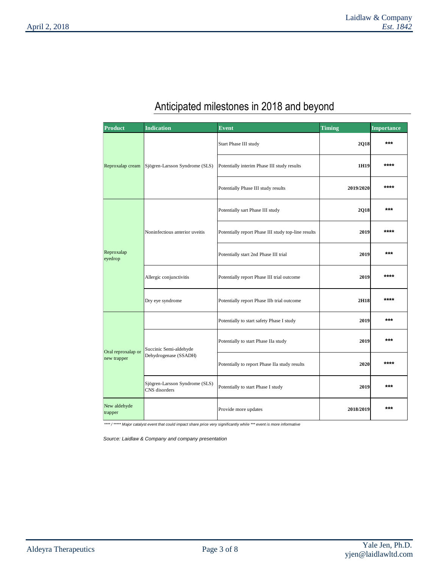# *Anticipated milestones in 2018 and beyond*

| Product                           | <b>Indication</b>                               | <b>Event</b>                                        | <b>Timing</b> | <b>Importance</b> |
|-----------------------------------|-------------------------------------------------|-----------------------------------------------------|---------------|-------------------|
|                                   |                                                 | Start Phase III study                               | 2Q18          | $***$             |
| Reproxalap cream                  | Sjögren-Larsson Syndrome (SLS)                  | Potentially interim Phase III study results         | 1H19          | ****              |
|                                   |                                                 | Potentially Phase III study results                 | 2019/2020     | ****              |
|                                   |                                                 | Potentially sart Phase III study                    | 2Q18          | $***$             |
|                                   | Noninfectious anterior uveitis                  | Potentially report Phase III study top-line results | 2019          | ****              |
| Reproxalap<br>eyedrop             |                                                 | Potentially start 2nd Phase III trial               | 2019          | $***$             |
|                                   | Allergic conjunctivitis                         | Potentially report Phase III trial outcome          | 2019          | ****              |
|                                   | Dry eye syndrome                                | Potentially report Phase IIb trial outcome          | 2H18          | ****              |
|                                   |                                                 | Potentially to start safety Phase I study           | 2019          | $***$             |
| Oral reproxalap or<br>new trapper | Succinic Semi-aldehyde                          | Potentially to start Phase IIa study                | 2019          | ***               |
|                                   | Dehydrogenase (SSADH)                           | Potentially to report Phase IIa study results       | 2020          | ****              |
|                                   | Sjögren-Larsson Syndrome (SLS)<br>CNS disorders | Potentially to start Phase I study                  | 2019          | ***               |
| New aldehyde<br>trapper           |                                                 | Provide more updates                                | 2018/2019     | ***               |

*\*\*\*\* / \*\*\*\*\* Major catalyst event that could impact share price very significantly while \*\*\* event is more informative* 

*Source: Laidlaw & Company and company presentation*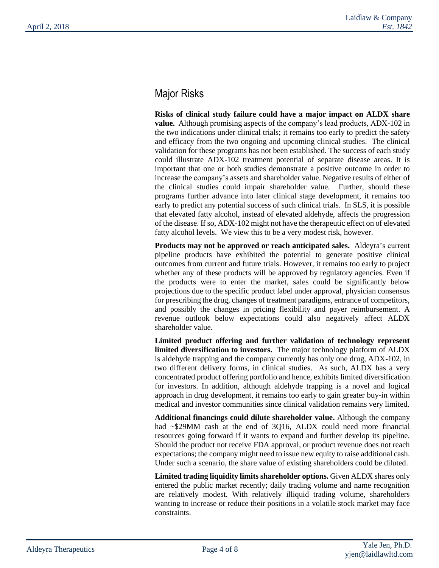## *Major Risks*

**Risks of clinical study failure could have a major impact on ALDX share value.** Although promising aspects of the company's lead products, ADX-102 in the two indications under clinical trials; it remains too early to predict the safety and efficacy from the two ongoing and upcoming clinical studies. The clinical validation for these programs has not been established. The success of each study could illustrate ADX-102 treatment potential of separate disease areas. It is important that one or both studies demonstrate a positive outcome in order to increase the company's assets and shareholder value. Negative results of either of the clinical studies could impair shareholder value. Further, should these programs further advance into later clinical stage development, it remains too early to predict any potential success of such clinical trials. In SLS, it is possible that elevated fatty alcohol, instead of elevated aldehyde, affects the progression of the disease. If so, ADX-102 might not have the therapeutic effect on of elevated fatty alcohol levels. We view this to be a very modest risk, however.

**Products may not be approved or reach anticipated sales.** Aldeyra's current pipeline products have exhibited the potential to generate positive clinical outcomes from current and future trials. However, it remains too early to project whether any of these products will be approved by regulatory agencies. Even if the products were to enter the market, sales could be significantly below projections due to the specific product label under approval, physician consensus for prescribing the drug, changes of treatment paradigms, entrance of competitors, and possibly the changes in pricing flexibility and payer reimbursement. A revenue outlook below expectations could also negatively affect ALDX shareholder value.

**Limited product offering and further validation of technology represent limited diversification to investors.** The major technology platform of ALDX is aldehyde trapping and the company currently has only one drug, ADX-102, in two different delivery forms, in clinical studies. As such, ALDX has a very concentrated product offering portfolio and hence, exhibits limited diversification for investors. In addition, although aldehyde trapping is a novel and logical approach in drug development, it remains too early to gain greater buy-in within medical and investor communities since clinical validation remains very limited.

**Additional financings could dilute shareholder value.** Although the company had ~\$29MM cash at the end of 3Q16, ALDX could need more financial resources going forward if it wants to expand and further develop its pipeline. Should the product not receive FDA approval, or product revenue does not reach expectations; the company might need to issue new equity to raise additional cash. Under such a scenario, the share value of existing shareholders could be diluted.

**Limited trading liquidity limits shareholder options.** Given ALDX shares only entered the public market recently; daily trading volume and name recognition are relatively modest. With relatively illiquid trading volume, shareholders wanting to increase or reduce their positions in a volatile stock market may face constraints.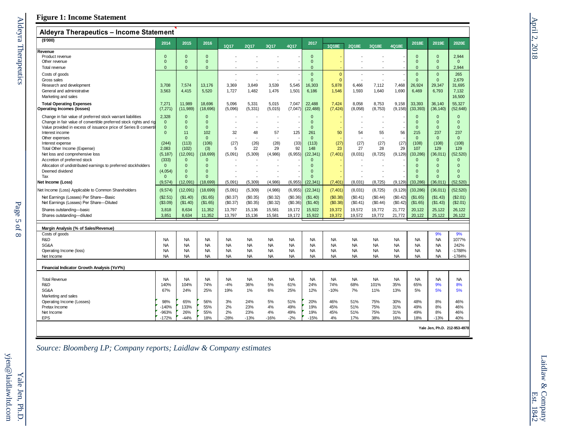## **Figure 1: Income Statement**

| Aldeyra Therapeutics - Income Statement                                  |                     |                          |                        |                    |                      |                        |                      |                        |                      |            |                      |                        |                        |                        |                        |
|--------------------------------------------------------------------------|---------------------|--------------------------|------------------------|--------------------|----------------------|------------------------|----------------------|------------------------|----------------------|------------|----------------------|------------------------|------------------------|------------------------|------------------------|
| ( \$'000)                                                                | 2014                | 2015                     | 2016                   | <b>1Q17</b>        | <b>2Q17</b>          | 3Q17                   | 4Q17                 | 2017                   | 1Q18E                | 2Q18E      | 3Q18E                | 4Q18E                  | 2018E                  | 2019E                  | 2020E                  |
| Revenue                                                                  |                     |                          |                        |                    |                      |                        |                      |                        |                      |            |                      |                        |                        |                        |                        |
| Product revenue                                                          | $\Omega$            | $\Omega$                 | $\mathbf{0}$           |                    |                      |                        |                      | $\mathbf{0}$           |                      |            |                      |                        | $\mathbf{0}$           | $\mathbf{0}$           | 2,944                  |
| Other revenue                                                            | $\mathbf{0}$        | $\Omega$                 | $\Omega$               |                    |                      |                        |                      | $\Omega$               |                      |            |                      |                        | $\Omega$               | $\mathbf{0}$           | $\mathbf{0}$           |
| Total revenue                                                            | $\mathbf{0}$        | $\mathbf{0}$             | $\Omega$               |                    |                      |                        |                      | $\Omega$               |                      |            |                      |                        | $\Omega$               | $\mathbf{0}$           | 2,944                  |
| Costs of goods                                                           |                     |                          |                        |                    |                      |                        |                      | $\Omega$               | $\mathbf{0}$         |            |                      |                        | $\mathbf{0}$           | $\mathbf{0}$           | 265                    |
| Gross sales                                                              |                     |                          |                        |                    |                      |                        |                      | $\Omega$               | $\mathbf{0}$         |            |                      |                        | $\Omega$               | $\Omega$               | 2.679                  |
| Research and development                                                 | 3.708               | 7.574                    | 13.176                 | 3.369              | 3.849                | 3.539                  | 5.545                | 16.303                 | 5.878                | 6.466      | 7,112                | 7.468                  | 26,924                 | 29.347                 | 31.695                 |
| General and administrative                                               | 3,563               | 4,415                    | 5,520                  | 1,727              | 1,482                | 1,476                  | 1,501                | 6,186                  | 1,546                | 1,593      | 1,640                | 1,690                  | 6,469                  | 6,793                  | 7,132                  |
| Marketing and sales                                                      |                     |                          |                        |                    |                      |                        |                      |                        |                      |            |                      |                        |                        |                        | 16,500                 |
| <b>Total Operating Expenses</b>                                          | 7,271               | 11.989                   | 18.696                 | 5.096              | 5,331                | 5.015                  | 7,047                | 22.488                 | 7.424                | 8.058      | 8,753                | 9,158                  | 33.393                 | 36.140                 | 55,327                 |
| Operating Incomes (losses)                                               | (7, 271)            | (11, 989)                | (18, 696)              | (5,096)            | (5, 331)             | (5,015)                | (7,047)              | (22, 488)              | (7, 424)             | (8,058)    | (8,753)              | (9, 158)               | (33, 393)              | (36, 140)              | (52, 648)              |
|                                                                          |                     |                          |                        |                    |                      |                        |                      |                        |                      |            |                      |                        |                        |                        |                        |
| Change in fair value of preferred stock warrant liabilities              | 2,328               | $\mathbf{0}$             | $\Omega$               |                    |                      |                        |                      | $\Omega$               |                      |            |                      |                        | $\mathbf{0}$           | $\mathbf{0}$           | $\mathbf{0}$           |
| Change in fair value of convertible preferred stock rights and rig       | $\mathbf{0}$        | $\Omega$                 | $\Omega$               |                    |                      |                        |                      | $\mathbf{0}$           |                      |            |                      |                        | $\mathbf{0}$           | $\mathbf{0}$           | $\mathbf{0}$           |
| Value provided in excess of issuance price of Series B convertil         | $\mathbf{0}$        | $\Omega$                 | $\Omega$               |                    |                      |                        |                      | $\Omega$               |                      |            |                      |                        | $\Omega$               | $\Omega$               | $\Omega$               |
| Interest income                                                          | $\Omega$            | 11                       | 102<br>$\Omega$        | 32                 | 48                   | 57                     | 125                  | 261<br>$\Omega$        | 50                   | 54         | 55                   | 56                     | 215                    | 237<br>$\Omega$        | 237                    |
| Other expenses                                                           |                     | $\Omega$                 |                        |                    |                      |                        |                      |                        |                      |            |                      |                        | $\mathbf{0}$           |                        | $\mathbf{0}$           |
| Interest expense<br>Total Other Income (Expense)                         | (244)<br>2.083      | (113)<br>(102)           | (106)                  | (27)<br>5          | (26)<br>22           | (28)<br>29             | (33)<br>92           | (113)<br>148           | (27)<br>23           | (27)<br>27 | (27)<br>28           | (27)<br>29             | (108)<br>107           | (108)<br>129           | (108)<br>129           |
|                                                                          |                     |                          | (3)                    |                    |                      |                        |                      |                        |                      |            |                      |                        |                        |                        |                        |
| Net loss and comprehensive loss                                          | (5, 187)            | (12,091)<br>$\Omega$     | 18,699)<br>$\Omega$    | (5,091)            | (5, 309)             | (4,986)                | (6, 955)             | (22, 341)<br>$\Omega$  | (7, 401)             | (8,031)    | (8, 725)             | (9, 129)               | (33, 286)<br>$\Omega$  | (36, 011)<br>$\Omega$  | (52, 520)<br>$\Omega$  |
| Accretion of preferred stock                                             | (333)               |                          |                        |                    |                      |                        |                      | $\Omega$               |                      |            |                      |                        |                        |                        |                        |
| Allocation of undistributed earnings to preferred stockholders           | $\mathbf{0}$        | $\mathbf{0}$             | $\Omega$<br>$\Omega$   |                    |                      |                        |                      |                        |                      |            |                      |                        | $\mathbf{0}$           | $\mathbf{0}$           | $\mathbf{0}$           |
| Deemed dividend<br>Tax                                                   | (4,054)<br>$\Omega$ | $\mathbf{0}$<br>$\Omega$ | $\Omega$               |                    |                      |                        |                      | $\Omega$<br>$\Omega$   |                      |            |                      |                        | $\Omega$<br>$\Omega$   | $\Omega$<br>$\Omega$   | $\Omega$<br>$\Omega$   |
|                                                                          |                     |                          |                        |                    |                      |                        |                      |                        |                      |            |                      |                        |                        |                        |                        |
| Net Income (Loss)<br>Net Income (Loss) Applicable to Common Shareholders | (9, 574)<br>(9,574) | (12,091)<br>(12,091)     | (18, 699)<br>(18, 699) | (5,091)<br>(5,091) | (5, 309)<br>(5, 309) | (4,986)<br>(4,986)     | (6, 955)<br>(6, 955) | (22, 341)<br>(22, 341) | (7, 401)<br>(7, 401) | (8,031)    | (8, 725)<br>(8, 725) | (9, 129)<br>(9, 129)   | (33, 286)<br>(33, 286) | (36, 011)<br>(36, 011) | (52, 520)<br>(52, 520) |
|                                                                          |                     |                          |                        |                    |                      |                        |                      |                        |                      | (8,031)    |                      |                        |                        |                        |                        |
| Net Earnings (Losses) Per Share-Basic                                    | (\$2.51)            | (\$1.40)                 | (\$1.65)               | (\$0.37)           | (\$0.35)             | (\$0.32)               | (S0.36)              | (\$1.40)               | (\$0.38)             | (\$0.41)   | (\$0.44)             | (\$0.42)               | (\$1.65)               | (\$1.43)               | (\$2.01)               |
| Net Earnings (Losses) Per Share-Diluted                                  | (\$3.09)            | (\$1.40)                 | (\$1.65)               | (\$0.37)           | (\$0.35)             | (\$0.32)               | (\$0.36)             | (\$1.40)               | (\$0.38)             | (\$0.41)   | (\$0.44)             | (\$0.42)               | (\$1.65)               | (\$1.43)               | (\$2.01)               |
| Shares outstanding-basic                                                 | 3,818               | 8,634                    | 11,352                 | 13,797             | 15,136               | 15,581                 | 19,172               | 15,922                 | 19,372               | 19,572     | 19,772               | 21,772                 | 20,122                 | 25,122                 | 26,122                 |
| Shares outstanding-diluted                                               | 3,851               | 8.634                    | 11,352                 | 13,797             | 15,136               | 15,581                 | 19,172               | 15,922                 | 19,372               | 19,572     | 19,772               | 21,772                 | 20,122                 | 25,122                 | 26,122                 |
|                                                                          |                     |                          |                        |                    |                      |                        |                      |                        |                      |            |                      |                        |                        |                        |                        |
| Margin Analysis (% of Sales/Revenue)                                     |                     |                          |                        |                    |                      |                        |                      |                        |                      |            |                      |                        |                        |                        |                        |
| Costs of goods                                                           |                     |                          |                        |                    |                      |                        |                      |                        |                      |            |                      |                        |                        | 9%                     | 9%                     |
| R&D                                                                      | <b>NA</b>           | <b>NA</b>                | <b>NA</b>              | <b>NA</b>          | <b>NA</b>            | <b>NA</b>              | <b>NA</b>            | <b>NA</b>              | <b>NA</b>            | <b>NA</b>  | <b>NA</b>            | <b>NA</b>              | <b>NA</b>              | <b>NA</b>              | 1077%                  |
| SG&A                                                                     | <b>NA</b>           | <b>NA</b>                | <b>NA</b>              | <b>NA</b>          | <b>NA</b>            | <b>NA</b>              | <b>NA</b>            | <b>NA</b>              | <b>NA</b>            | <b>NA</b>  | <b>NA</b>            | <b>NA</b>              | <b>NA</b>              | <b>NA</b>              | 242%                   |
| Operating Income (loss)                                                  | <b>NA</b>           | <b>NA</b><br><b>NA</b>   | <b>NA</b><br><b>NA</b> | <b>NA</b>          | <b>NA</b>            | <b>NA</b><br><b>NA</b> | <b>NA</b>            | <b>NA</b>              | <b>NA</b>            | <b>NA</b>  | <b>NA</b>            | <b>NA</b><br><b>NA</b> | <b>NA</b><br><b>NA</b> | <b>NA</b>              | -1788%                 |
| Net Income                                                               | <b>NA</b>           |                          |                        | <b>NA</b>          | <b>NA</b>            |                        | <b>NA</b>            | <b>NA</b>              | <b>NA</b>            | <b>NA</b>  | <b>NA</b>            |                        |                        | <b>NA</b>              | $-1784%$               |
| Financial Indicator Growth Analysis (YoY%)                               |                     |                          |                        |                    |                      |                        |                      |                        |                      |            |                      |                        |                        |                        |                        |
| <b>Total Revenue</b>                                                     | <b>NA</b>           | <b>NA</b>                | <b>NA</b>              | <b>NA</b>          | <b>NA</b>            | <b>NA</b>              | <b>NA</b>            | <b>NA</b>              | <b>NA</b>            | <b>NA</b>  | <b>NA</b>            | <b>NA</b>              | <b>NA</b>              | <b>NA</b>              | <b>NA</b>              |
| R&D                                                                      | 140%                | 104%                     | 74%                    | $-4%$              | 36%                  | 5%                     | 61%                  | 24%                    | 74%                  | 68%        | 101%                 | 35%                    | 65%                    | 9%                     | 8%                     |
| SG&A                                                                     | 67%                 | 24%                      | 25%                    | 19%                | 1%                   | 6%                     | 25%                  | 12%                    | $-10%$               | 7%         | 11%                  | 13%                    | 5%                     | 5%                     | 5%                     |
| Marketing and sales                                                      |                     |                          |                        |                    |                      |                        |                      |                        |                      |            |                      |                        |                        |                        |                        |
| Operating Income (Losses)                                                | 98%                 | 65%                      | 56%                    | 3%                 | 24%                  | 5%                     | 51%                  | 20%                    | 46%                  | 51%        | 75%                  | 30%                    | 48%                    | 8%                     | 46%                    |
| Pretax Income                                                            | $-140%$             | 133%                     | 55%                    | 2%                 | 23%                  | 4%                     | 49%                  | 19%                    | 45%                  | 51%        | 75%                  | 31%                    | 49%                    | 8%                     | 46%                    |
| Net Income                                                               | -963%               | 26%                      | 55%                    | 2%                 | 23%                  | 4%                     | 49%                  | 19%                    | 45%                  | 51%        | 75%                  | 31%                    | 49%                    | 8%                     | 46%                    |
| <b>EPS</b>                                                               | $-172%$             | $-44%$                   | 18%                    | $-28%$             | $-13%$               | $-16%$                 | $-2%$                | $-15%$                 | 4%                   | 17%        | 38%                  | 16%                    | 18%                    | $-13%$                 | 40%                    |

**Yale Jen, Ph.D. 212-953-4978**

 $\overline{\phantom{a}}$ 

*Source: Bloomberg LP; Company reports; Laidlaw & Company estimates*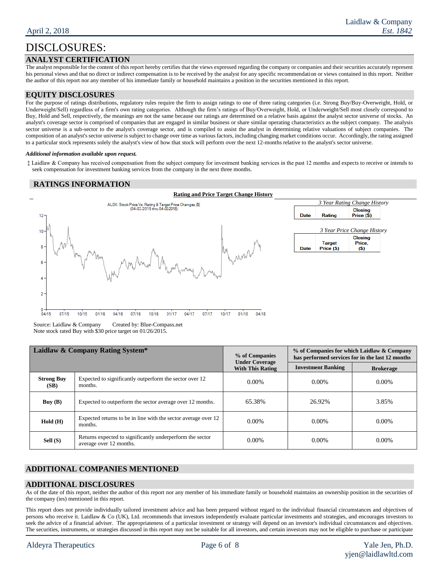## DISCLOSURES:

#### **ANALYST CERTIFICATION**

The analyst responsible for the content of this report hereby certifies that the views expressed regarding the company or companies and their securities accurately represent his personal views and that no direct or indirect compensation is to be received by the analyst for any specific recommendation or views contained in this report. Neither the author of this report nor any member of his immediate family or household maintains a position in the securities mentioned in this report.

#### **EQUITY DISCLOSURES**

For the purpose of ratings distributions, regulatory rules require the firm to assign ratings to one of three rating categories (i.e. Strong Buy/Buy-Overweight, Hold, or Underweight/Sell) regardless of a firm's own rating categories. Although the firm's ratings of Buy/Overweight, Hold, or Underweight/Sell most closely correspond to Buy, Hold and Sell, respectively, the meanings are not the same because our ratings are determined on a relative basis against the analyst sector universe of stocks. An analyst's coverage sector is comprised of companies that are engaged in similar business or share similar operating characteristics as the subject company. The analysis sector universe is a sub-sector to the analyst's coverage sector, and is compiled to assist the analyst in determining relative valuations of subject companies. The composition of an analyst's sector universe is subject to change over time as various factors, including changing market conditions occur. Accordingly, the rating assigned to a particular stock represents solely the analyst's view of how that stock will perform over the next 12-months relative to the analyst's sector universe.

#### *Additional information available upon request.*

‡ Laidlaw & Company has received compensation from the subject company for investment banking services in the past 12 months and expects to receive or intends to seek compensation for investment banking services from the company in the next three months.

### **RATINGS INFORMATION**



Source: Laidlaw & Company Created by: Blue-Compass.net Note stock rated Buy with \$30 price target on 01/26/2015.

|                           | Laidlaw & Company Rating System*                                                     | % of Companies<br><b>Under Coverage</b> | % of Companies for which Laidlaw & Company<br>has performed services for in the last 12 months |                  |  |  |
|---------------------------|--------------------------------------------------------------------------------------|-----------------------------------------|------------------------------------------------------------------------------------------------|------------------|--|--|
|                           |                                                                                      | <b>With This Rating</b>                 | <b>Investment Banking</b>                                                                      | <b>Brokerage</b> |  |  |
| <b>Strong Buy</b><br>(SB) | Expected to significantly outperform the sector over 12<br>months.                   | $0.00\%$                                | $0.00\%$                                                                                       | $0.00\%$         |  |  |
| Buy(B)                    | Expected to outperform the sector average over 12 months.                            | 65.38%                                  | 26.92%                                                                                         | 3.85%            |  |  |
| $Hold$ ( $H$ )            | Expected returns to be in line with the sector average over 12<br>months.            | $0.00\%$                                | $0.00\%$                                                                                       | $0.00\%$         |  |  |
| Sell $(S)$                | Returns expected to significantly underperform the sector<br>average over 12 months. | $0.00\%$                                | $0.00\%$                                                                                       | $0.00\%$         |  |  |

## **ADDITIONAL COMPANIES MENTIONED**

#### **ADDITIONAL DISCLOSURES**

As of the date of this report, neither the author of this report nor any member of his immediate family or household maintains an ownership position in the securities of the company (ies) mentioned in this report.

This report does not provide individually tailored investment advice and has been prepared without regard to the individual financial circumstances and objectives of persons who receive it. Laidlaw & Co (UK), Ltd. recommends that investors independently evaluate particular investments and strategies, and encourages investors to seek the advice of a financial adviser. The appropriateness of a particular investment or strategy will depend on an investor's individual circumstances and objectives. The securities, instruments, or strategies discussed in this report may not be suitable for all investors, and certain investors may not be eligible to purchase or participate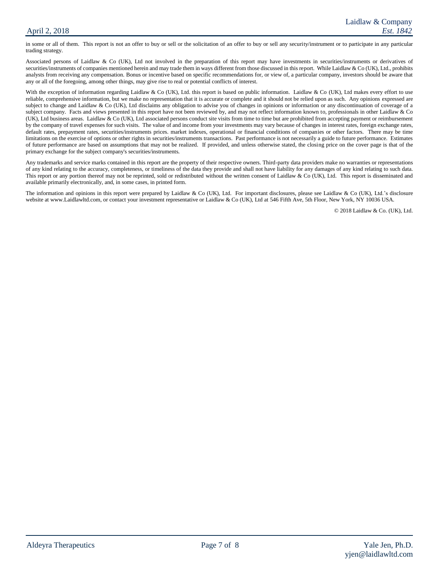#### April 2, 2018

in some or all of them. This report is not an offer to buy or sell or the solicitation of an offer to buy or sell any security/instrument or to participate in any particular trading strategy.

Associated persons of Laidlaw & Co (UK), Ltd not involved in the preparation of this report may have investments in securities/instruments or derivatives of securities/instruments of companies mentioned herein and may trade them in ways different from those discussed in this report. While Laidlaw & Co (UK), Ltd., prohibits analysts from receiving any compensation. Bonus or incentive based on specific recommendations for, or view of, a particular company, investors should be aware that any or all of the foregoing, among other things, may give rise to real or potential conflicts of interest.

With the exception of information regarding Laidlaw & Co (UK), Ltd. this report is based on public information. Laidlaw & Co (UK), Ltd makes every effort to use reliable, comprehensive information, but we make no representation that it is accurate or complete and it should not be relied upon as such. Any opinions expressed are subject to change and Laidlaw & Co (UK), Ltd disclaims any obligation to advise you of changes in opinions or information or any discontinuation of coverage of a subject company. Facts and views presented in this report have not been reviewed by, and may not reflect information known to, professionals in other Laidlaw & Co (UK), Ltd business areas. Laidlaw & Co (UK), Ltd associated persons conduct site visits from time to time but are prohibited from accepting payment or reimbursement by the company of travel expenses for such visits. The value of and income from your investments may vary because of changes in interest rates, foreign exchange rates, default rates, prepayment rates, securities/instruments prices. market indexes, operational or financial conditions of companies or other factors. There may be time limitations on the exercise of options or other rights in securities/instruments transactions. Past performance is not necessarily a guide to future performance. Estimates of future performance are based on assumptions that may not be realized. If provided, and unless otherwise stated, the closing price on the cover page is that of the primary exchange for the subject company's securities/instruments.

Any trademarks and service marks contained in this report are the property of their respective owners. Third-party data providers make no warranties or representations of any kind relating to the accuracy, completeness, or timeliness of the data they provide and shall not have liability for any damages of any kind relating to such data. This report or any portion thereof may not be reprinted, sold or redistributed without the written consent of Laidlaw & Co (UK), Ltd. This report is disseminated and available primarily electronically, and, in some cases, in printed form.

The information and opinions in this report were prepared by Laidlaw & Co (UK), Ltd. For important disclosures, please see Laidlaw & Co (UK), Ltd.'s disclosure website at www.Laidlawltd.com, or contact your investment representative or Laidlaw & Co (UK), Ltd at 546 Fifth Ave, 5th Floor, New York, NY 10036 USA.

© 2018 Laidlaw & Co. (UK), Ltd.